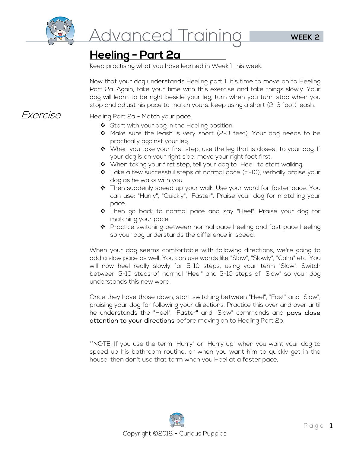

<u>Advanced Training</u>

## **Heeling - Part 2a**

Keep practising what you have learned in Week 1 this week.

Now that your dog understands Heeling part 1, it's time to move on to Heeling Part 2a. Again, take your time with this exercise and take things slowly. Your dog will learn to be right beside your leg, turn when you turn, stop when you stop and adjust his pace to match yours. Keep using a short (2-3 foot) leash.

#### Exercise Heeling Part 2a - Match your pace

- ◆ Start with your dog in the Heeling position.
- $\clubsuit$  Make sure the leash is very short (2-3 feet). Your dog needs to be practically against your leg.
- $\clubsuit$  When you take your first step, use the leg that is closest to your dog. If your dog is on your right side, move your right foot first.
- ❖ When taking your first step, tell your dog to "Heel" to start walking.
- $\clubsuit$  Take a few successful steps at normal pace (5-10), verbally praise your dog as he walks with you.
- Then suddenly speed up your walk. Use your word for faster pace. You can use: "Hurry", "Quickly", "Faster". Praise your dog for matching your pace.
- Then go back to normal pace and say "Heel". Praise your dog for matching your pace.
- $\clubsuit$  Practice switching between normal pace heeling and fast pace heeling so your dog understands the difference in speed.

When your dog seems comfortable with following directions, we're going to add a slow pace as well. You can use words like "Slow", "Slowly", "Calm" etc. You will now heel really slowly for 5-10 steps, using your term "Slow". Switch between 5-10 steps of normal "Heel" and 5-10 steps of "Slow" so your dog understands this new word.

Once they have those down, start switching between "Heel", "Fast" and "Slow", praising your dog for following your directions. Practice this over and over until he understands the "Heel", "Faster" and "Slow" commands and pays close attention to your directions before moving on to Heeling Part 2b.

\*\*NOTE: If you use the term "Hurry" or "Hurry up" when you want your dog to speed up his bathroom routine, or when you want him to quickly get in the house, then don't use that term when you Heel at a faster pace.

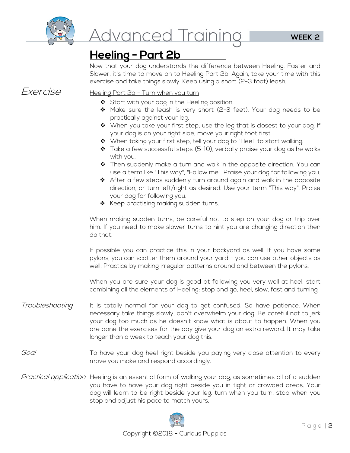

# <u>Advanced Training</u>

## **Heeling - Part 2b**

Now that your dog understands the difference between Heeling, Faster and Slower, it's time to move on to Heeling Part 2b. Again, take your time with this exercise and take things slowly. Keep using a short (2-3 foot) leash.

#### Exercise Heeling Part 2b - Turn when you turn

- ❖ Start with your dog in the Heeling position.
- ◆ Make sure the leash is very short (2-3 feet). Your dog needs to be practically against your leg.
- ◆ When you take your first step, use the leg that is closest to your dog. If your dog is on your right side, move your right foot first.
- ◆ When taking your first step, tell your dog to "Heel" to start walking.
- $\clubsuit$  Take a few successful steps (5-10), verbally praise your dog as he walks with you.
- $\clubsuit$  Then suddenly make a turn and walk in the opposite direction. You can use a term like "This way", "Follow me". Praise your dog for following you.
- $\clubsuit$  After a few steps suddenly turn around again and walk in the opposite direction, or turn left/right as desired. Use your term "This way". Praise your dog for following you.
- $\clubsuit$  Keep practising making sudden turns.

When making sudden turns, be careful not to step on your dog or trip over him. If you need to make slower turns to hint you are changing direction then do that.

If possible you can practice this in your backyard as well. If you have some pylons, you can scatter them around your yard - you can use other objects as well. Practice by making irregular patterns around and between the pylons.

When you are sure your dog is good at following you very well at heel, start combining all the elements of Heeling: stop and go, heel, slow, fast and turning.

- Troubleshooting It is totally normal for your dog to get confused. So have patience. When necessary take things slowly, don't overwhelm your dog. Be careful not to jerk your dog too much as he doesn't know what is about to happen. When you are done the exercises for the day give your dog an extra reward. It may take longer than a week to teach your dog this.
- Goal To have your dog heel right beside you paying very close attention to every move you make and respond accordingly.
- Practical application Heeling is an essential form of walking your dog, as sometimes all of a sudden you have to have your dog right beside you in tight or crowded areas. Your dog will learn to be right beside your leg, turn when you turn, stop when you stop and adjust his pace to match yours.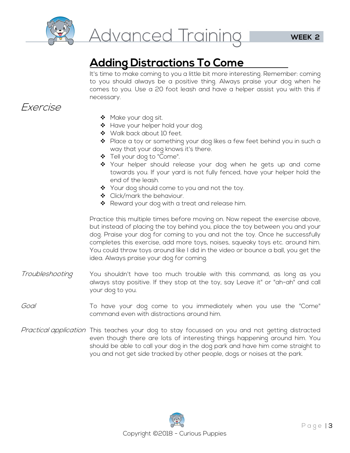

# **Adding Distractions To Come**

It's time to make coming to you a little bit more interesting. Remember: coming to you should always be a positive thing. Always praise your dog when he comes to you. Use a 20 foot leash and have a helper assist you with this if necessary.

### Exercise

- ◆ Make your dog sit.
- \* Have your helper hold your dog.
- ◆ Walk back about 10 feet.
- ◆ Place a toy or something your dog likes a few feet behind you in such a way that your dog knows it's there.
- Tell your dog to "Come".
- \* Your helper should release your dog when he gets up and come towards you. If your yard is not fully fenced, have your helper hold the end of the leash.
- ❖ Your dog should come to you and not the toy.
- ◆ Click/mark the behaviour.
- ❖ Reward your dog with a treat and release him.

Practice this multiple times before moving on. Now repeat the exercise above, but instead of placing the toy behind you, place the toy between you and your dog. Praise your dog for coming to you and not the toy. Once he successfully completes this exercise, add more toys, noises, squeaky toys etc. around him. You could throw toys around like I did in the video or bounce a ball, you get the idea. Always praise your dog for coming.

- Troubleshooting You shouldn't have too much trouble with this command, as long as you always stay positive. If they stop at the toy, say Leave it" or "ah-ah" and call your dog to you.
- Goal To have your dog come to you immediately when you use the "Come" command even with distractions around him.
- Practical application This teaches your dog to stay focussed on you and not getting distracted even though there are lots of interesting things happening around him. You should be able to call your dog in the dog park and have him come straight to you and not get side tracked by other people, dogs or noises at the park.